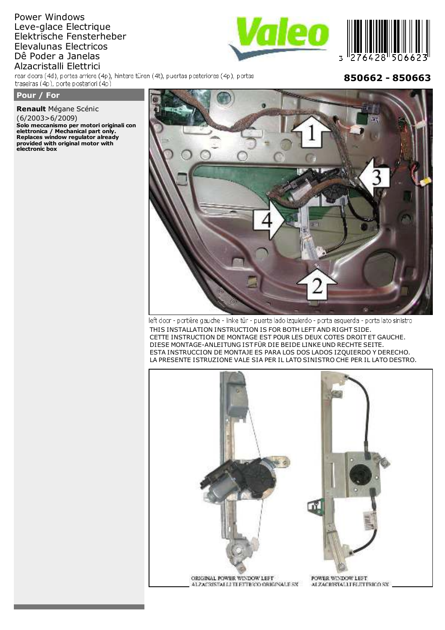# Power Windows Leve-glace Electrique Elektrische Fensterheber Elevalunas Electricos Dê Poder a Janelas Alzacristalli Elettrici

rear doors (4d), portes arriere (4p), hintere türen (4t), puertas posteriores (4p), portas traseiras (4p), porte posteriori (4p)

## Pour / For

Renault Mégane Scénic  $(6/2003>6/2009)$ Solo meccanismo per motori originali con Solo ineccanism per motori original<br>elettronica / Mechanical part only.<br>Replaces window regulator already<br>provided with original motor with<br>electronic box

# 850662 - 850663



left door - portière gauche - linke tür - puerta lado izquierdo - porta esquerda - porta lato sinistro THIS INSTALLATION INSTRUCTION IS FOR BOTH LEFT AND RIGHT SIDE. CETTE INSTRUCTION DE MONTAGE EST POUR LES DEUX COTES DROIT ET GAUCHE. DIESE MONTAGE-ANLEITUNG IST FÜR DIE BEIDE LINKE UND RECHTE SEITE. ESTA INSTRUCCION DE MONTAJE ES PARA LOS DOS LADOS IZQUIERDO Y DERECHO. LA PRESENTE ISTRUZIONE VALE SIA PER IL LATO SINISTRO CHE PER IL LATO DESTRO.